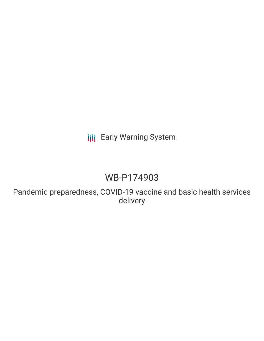# **III** Early Warning System

# WB-P174903

Pandemic preparedness, COVID-19 vaccine and basic health services delivery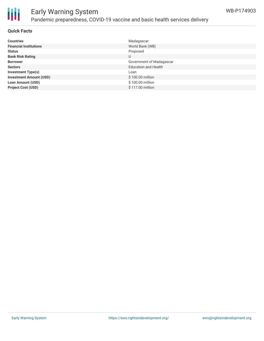

## Early Warning System Pandemic preparedness, COVID-19 vaccine and basic health services delivery

### **Quick Facts**

| <b>Countries</b>               | Madagascar                  |
|--------------------------------|-----------------------------|
| <b>Financial Institutions</b>  | World Bank (WB)             |
| <b>Status</b>                  | Proposed                    |
| <b>Bank Risk Rating</b>        | U                           |
| <b>Borrower</b>                | Government of Madagascar    |
| <b>Sectors</b>                 | <b>Education and Health</b> |
| <b>Investment Type(s)</b>      | Loan                        |
| <b>Investment Amount (USD)</b> | \$100.00 million            |
| <b>Loan Amount (USD)</b>       | \$100.00 million            |
| <b>Project Cost (USD)</b>      | $$117.00$ million           |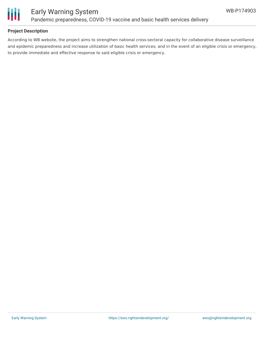

### **Project Description**

According to WB website, the project aims to strengthen national cross-sectoral capacity for collaborative disease surveillance and epidemic preparedness and increase utilization of basic health services; and in the event of an eligible crisis or emergency, to provide immediate and effective response to said eligible crisis or emergency.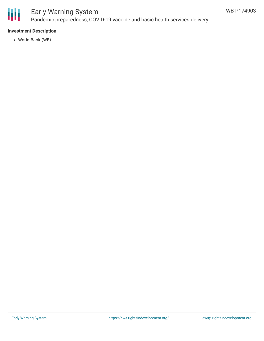

### Early Warning System Pandemic preparedness, COVID-19 vaccine and basic health services delivery

### **Investment Description**

World Bank (WB)